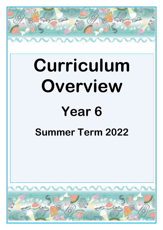

# **Curriculum Overview**

# **Year 6**

## **Summer Term 2022**

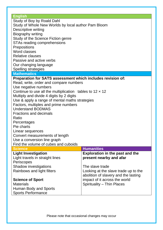#### **English**

Study of Boy by Roald Dahl Study of Whole New Worlds by local author Pam Bloom Descriptive writing Biography writing Study of the Science Fiction genre STAs reading comprehensions **Prepositions** Word classes Relative clauses Passive and active verbs Our changing language

Spelling strategies

#### **Mathematics**

#### **Preparation for SATS assessment which includes revision of:**

Read, write, order and compare numbers Use negative numbers Continue to use all the multiplication tables to  $12 \times 12$ Multiply and divide 4 digits by 2 digits Use & apply a range of mental maths strategies Factors, multiples and prime numbers Understand BODMAS Fractions and decimals Ratio **Percentages** Pie charts Linear sequences Convert measurements of length Use a conversion line graph Find the volume of cubes and cuboids **Science Humanities Light Investigation**  Light travels in straight lines **Exploration in the past and the present nearby and afar**

**Periscopes** Shadow investigations Rainbows and light filters **Science of Sport Materials** Human Body and Sports Sports Performance The slave trade Looking at the slave trade up to the abolition of slavery and the lasting impact of it across the world Spirituality – Thin Places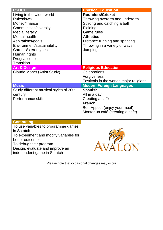| <b>PSHCEE</b>                                                                                                                                                                                                                                               | <b>Physical Education</b>                                                                                                                                                                                                   |
|-------------------------------------------------------------------------------------------------------------------------------------------------------------------------------------------------------------------------------------------------------------|-----------------------------------------------------------------------------------------------------------------------------------------------------------------------------------------------------------------------------|
| Living in the wider world<br>Rules/laws<br>Money/finance<br>Communities/diversity<br>Media literacy<br><b>Mental health</b><br>Aspirations/goals<br>Environment/sustainability<br>Careers/stereotypes<br>Human rights<br>Drugs/alcohol<br><b>Transition</b> | <b>Rounders/Cricket</b><br>Throwing overarm and underarm<br>Striking and catching a ball<br>Fielding<br><b>Game rules</b><br><b>Athletics</b><br>Distance running and sprinting<br>Throwing in a variety of ways<br>Jumping |
| <b>Art &amp; Design</b>                                                                                                                                                                                                                                     | <b>Religious Education</b>                                                                                                                                                                                                  |
| Claude Monet (Artist Study)                                                                                                                                                                                                                                 | Celebrations<br>Forgiveness<br>Festivals in the worlds major religions                                                                                                                                                      |
| <b>Music</b>                                                                                                                                                                                                                                                | <b>Modern Foreign Languages</b>                                                                                                                                                                                             |
| Study different musical styles of 20th<br>century<br><b>Performance skills</b>                                                                                                                                                                              | <b>Spanish</b><br>All in a day<br>Creating a café<br><b>French</b><br>Bon Appetit (enjoy your meal)<br>Monter un café (creating a café)                                                                                     |
| <b>Computing</b>                                                                                                                                                                                                                                            |                                                                                                                                                                                                                             |
| To use variables to programme games<br>in Scratch<br>To experiment and modify variables for<br>better outcomes<br>To debug their program<br>Design, evaluate and improve an<br>independent game in Scratch                                                  | $\sqrt{2}$                                                                                                                                                                                                                  |

Please note that occasional changes may occur